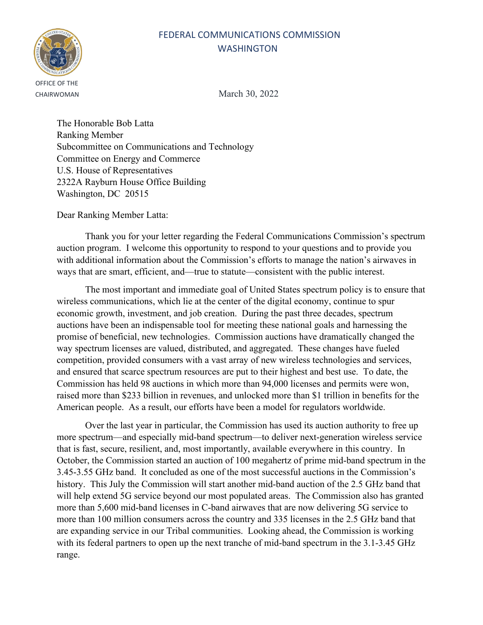# FEDERAL COMMUNICATIONS COMMISSION **WASHINGTON**



CHAIRWOMAN March 30, 2022

The Honorable Bob Latta Ranking Member Subcommittee on Communications and Technology Committee on Energy and Commerce U.S. House of Representatives 2322A Rayburn House Office Building Washington, DC 20515

Dear Ranking Member Latta:

Thank you for your letter regarding the Federal Communications Commission's spectrum auction program. I welcome this opportunity to respond to your questions and to provide you with additional information about the Commission's efforts to manage the nation's airwaves in ways that are smart, efficient, and—true to statute—consistent with the public interest.

The most important and immediate goal of United States spectrum policy is to ensure that wireless communications, which lie at the center of the digital economy, continue to spur economic growth, investment, and job creation. During the past three decades, spectrum auctions have been an indispensable tool for meeting these national goals and harnessing the promise of beneficial, new technologies. Commission auctions have dramatically changed the way spectrum licenses are valued, distributed, and aggregated. These changes have fueled competition, provided consumers with a vast array of new wireless technologies and services, and ensured that scarce spectrum resources are put to their highest and best use. To date, the Commission has held 98 auctions in which more than 94,000 licenses and permits were won, raised more than \$233 billion in revenues, and unlocked more than \$1 trillion in benefits for the American people. As a result, our efforts have been a model for regulators worldwide.

Over the last year in particular, the Commission has used its auction authority to free up more spectrum—and especially mid-band spectrum—to deliver next-generation wireless service that is fast, secure, resilient, and, most importantly, available everywhere in this country. In October, the Commission started an auction of 100 megahertz of prime mid-band spectrum in the 3.45-3.55 GHz band. It concluded as one of the most successful auctions in the Commission's history. This July the Commission will start another mid-band auction of the 2.5 GHz band that will help extend 5G service beyond our most populated areas. The Commission also has granted more than 5,600 mid-band licenses in C-band airwaves that are now delivering 5G service to more than 100 million consumers across the country and 335 licenses in the 2.5 GHz band that are expanding service in our Tribal communities. Looking ahead, the Commission is working with its federal partners to open up the next tranche of mid-band spectrum in the 3.1-3.45 GHz range.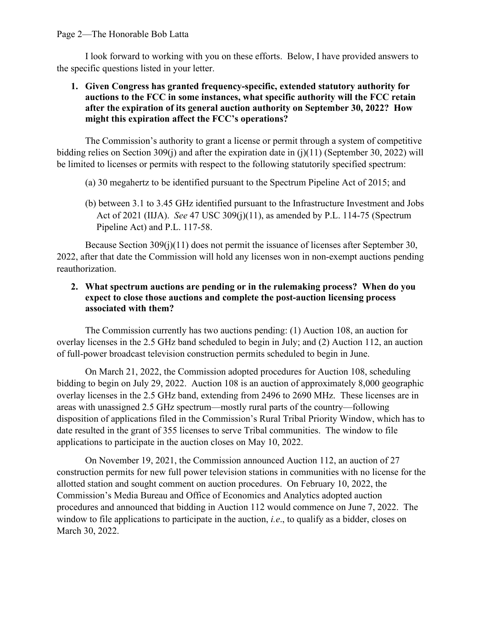#### Page 2—The Honorable Bob Latta

I look forward to working with you on these efforts. Below, I have provided answers to the specific questions listed in your letter.

## **1. Given Congress has granted frequency-specific, extended statutory authority for auctions to the FCC in some instances, what specific authority will the FCC retain after the expiration of its general auction authority on September 30, 2022? How might this expiration affect the FCC's operations?**

The Commission's authority to grant a license or permit through a system of competitive bidding relies on Section 309(j) and after the expiration date in (j)(11) (September 30, 2022) will be limited to licenses or permits with respect to the following statutorily specified spectrum:

- (a) 30 megahertz to be identified pursuant to the Spectrum Pipeline Act of 2015; and
- (b) between 3.1 to 3.45 GHz identified pursuant to the Infrastructure Investment and Jobs Act of 2021 (IIJA). *See* 47 USC 309(j)(11), as amended by P.L. 114-75 (Spectrum Pipeline Act) and P.L. 117-58.

Because Section 309(j)(11) does not permit the issuance of licenses after September 30, 2022, after that date the Commission will hold any licenses won in non-exempt auctions pending reauthorization.

# **2. What spectrum auctions are pending or in the rulemaking process? When do you expect to close those auctions and complete the post-auction licensing process associated with them?**

The Commission currently has two auctions pending: (1) Auction 108, an auction for overlay licenses in the 2.5 GHz band scheduled to begin in July; and (2) Auction 112, an auction of full-power broadcast television construction permits scheduled to begin in June.

On March 21, 2022, the Commission adopted procedures for Auction 108, scheduling bidding to begin on July 29, 2022. Auction 108 is an auction of approximately 8,000 geographic overlay licenses in the 2.5 GHz band, extending from 2496 to 2690 MHz. These licenses are in areas with unassigned 2.5 GHz spectrum—mostly rural parts of the country—following disposition of applications filed in the Commission's Rural Tribal Priority Window, which has to date resulted in the grant of 355 licenses to serve Tribal communities. The window to file applications to participate in the auction closes on May 10, 2022.

On November 19, 2021, the Commission announced Auction 112, an auction of 27 construction permits for new full power television stations in communities with no license for the allotted station and sought comment on auction procedures. On February 10, 2022, the Commission's Media Bureau and Office of Economics and Analytics adopted auction procedures and announced that bidding in Auction 112 would commence on June 7, 2022. The window to file applications to participate in the auction, *i.e*., to qualify as a bidder, closes on March 30, 2022.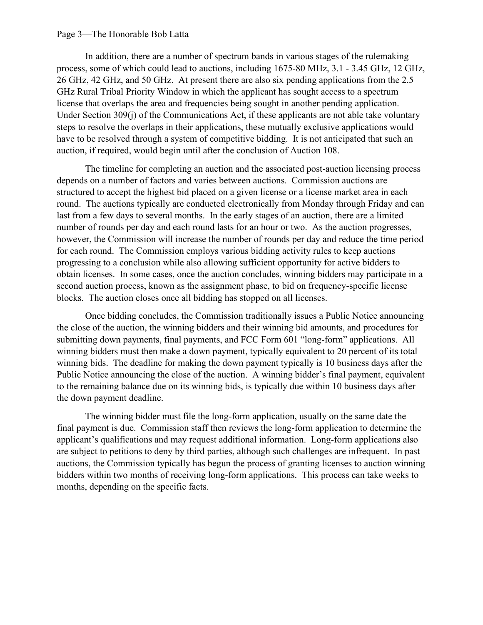#### Page 3—The Honorable Bob Latta

In addition, there are a number of spectrum bands in various stages of the rulemaking process, some of which could lead to auctions, including 1675-80 MHz, 3.1 - 3.45 GHz, 12 GHz, 26 GHz, 42 GHz, and 50 GHz. At present there are also six pending applications from the 2.5 GHz Rural Tribal Priority Window in which the applicant has sought access to a spectrum license that overlaps the area and frequencies being sought in another pending application. Under Section 309(j) of the Communications Act, if these applicants are not able take voluntary steps to resolve the overlaps in their applications, these mutually exclusive applications would have to be resolved through a system of competitive bidding. It is not anticipated that such an auction, if required, would begin until after the conclusion of Auction 108.

The timeline for completing an auction and the associated post-auction licensing process depends on a number of factors and varies between auctions. Commission auctions are structured to accept the highest bid placed on a given license or a license market area in each round. The auctions typically are conducted electronically from Monday through Friday and can last from a few days to several months. In the early stages of an auction, there are a limited number of rounds per day and each round lasts for an hour or two. As the auction progresses, however, the Commission will increase the number of rounds per day and reduce the time period for each round. The Commission employs various bidding activity rules to keep auctions progressing to a conclusion while also allowing sufficient opportunity for active bidders to obtain licenses. In some cases, once the auction concludes, winning bidders may participate in a second auction process, known as the assignment phase, to bid on frequency-specific license blocks. The auction closes once all bidding has stopped on all licenses.

Once bidding concludes, the Commission traditionally issues a Public Notice announcing the close of the auction, the winning bidders and their winning bid amounts, and procedures for submitting down payments, final payments, and FCC Form 601 "long-form" applications. All winning bidders must then make a down payment, typically equivalent to 20 percent of its total winning bids. The deadline for making the down payment typically is 10 business days after the Public Notice announcing the close of the auction. A winning bidder's final payment, equivalent to the remaining balance due on its winning bids, is typically due within 10 business days after the down payment deadline.

The winning bidder must file the long-form application, usually on the same date the final payment is due. Commission staff then reviews the long-form application to determine the applicant's qualifications and may request additional information. Long-form applications also are subject to petitions to deny by third parties, although such challenges are infrequent. In past auctions, the Commission typically has begun the process of granting licenses to auction winning bidders within two months of receiving long-form applications. This process can take weeks to months, depending on the specific facts.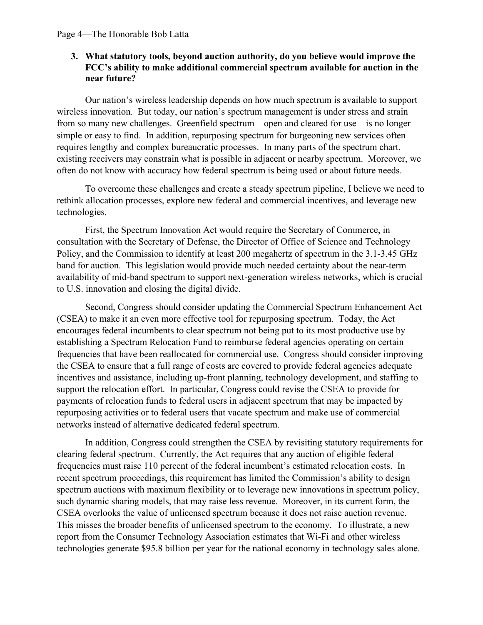## **3. What statutory tools, beyond auction authority, do you believe would improve the FCC's ability to make additional commercial spectrum available for auction in the near future?**

Our nation's wireless leadership depends on how much spectrum is available to support wireless innovation. But today, our nation's spectrum management is under stress and strain from so many new challenges. Greenfield spectrum—open and cleared for use—is no longer simple or easy to find. In addition, repurposing spectrum for burgeoning new services often requires lengthy and complex bureaucratic processes. In many parts of the spectrum chart, existing receivers may constrain what is possible in adjacent or nearby spectrum. Moreover, we often do not know with accuracy how federal spectrum is being used or about future needs.

To overcome these challenges and create a steady spectrum pipeline, I believe we need to rethink allocation processes, explore new federal and commercial incentives, and leverage new technologies.

First, the Spectrum Innovation Act would require the Secretary of Commerce, in consultation with the Secretary of Defense, the Director of Office of Science and Technology Policy, and the Commission to identify at least 200 megahertz of spectrum in the 3.1-3.45 GHz band for auction. This legislation would provide much needed certainty about the near-term availability of mid-band spectrum to support next-generation wireless networks, which is crucial to U.S. innovation and closing the digital divide.

Second, Congress should consider updating the Commercial Spectrum Enhancement Act (CSEA) to make it an even more effective tool for repurposing spectrum. Today, the Act encourages federal incumbents to clear spectrum not being put to its most productive use by establishing a Spectrum Relocation Fund to reimburse federal agencies operating on certain frequencies that have been reallocated for commercial use. Congress should consider improving the CSEA to ensure that a full range of costs are covered to provide federal agencies adequate incentives and assistance, including up-front planning, technology development, and staffing to support the relocation effort. In particular, Congress could revise the CSEA to provide for payments of relocation funds to federal users in adjacent spectrum that may be impacted by repurposing activities or to federal users that vacate spectrum and make use of commercial networks instead of alternative dedicated federal spectrum.

In addition, Congress could strengthen the CSEA by revisiting statutory requirements for clearing federal spectrum. Currently, the Act requires that any auction of eligible federal frequencies must raise 110 percent of the federal incumbent's estimated relocation costs. In recent spectrum proceedings, this requirement has limited the Commission's ability to design spectrum auctions with maximum flexibility or to leverage new innovations in spectrum policy, such dynamic sharing models, that may raise less revenue. Moreover, in its current form, the CSEA overlooks the value of unlicensed spectrum because it does not raise auction revenue. This misses the broader benefits of unlicensed spectrum to the economy. To illustrate, a new report from the Consumer Technology Association estimates that Wi-Fi and other wireless technologies generate \$95.8 billion per year for the national economy in technology sales alone.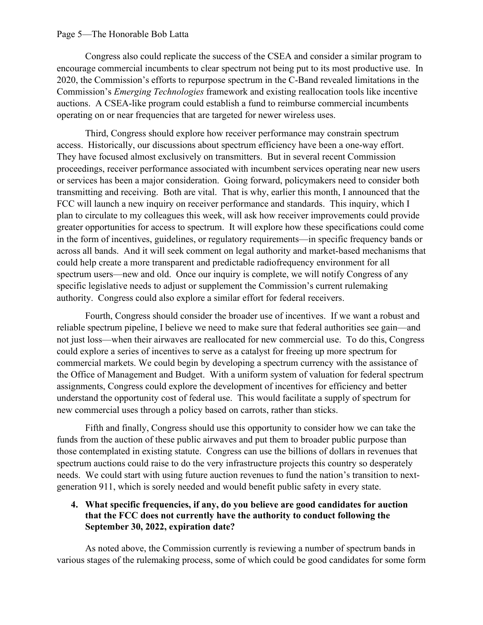#### Page 5—The Honorable Bob Latta

Congress also could replicate the success of the CSEA and consider a similar program to encourage commercial incumbents to clear spectrum not being put to its most productive use. In 2020, the Commission's efforts to repurpose spectrum in the C-Band revealed limitations in the Commission's *Emerging Technologies* framework and existing reallocation tools like incentive auctions. A CSEA-like program could establish a fund to reimburse commercial incumbents operating on or near frequencies that are targeted for newer wireless uses.

Third, Congress should explore how receiver performance may constrain spectrum access. Historically, our discussions about spectrum efficiency have been a one-way effort. They have focused almost exclusively on transmitters. But in several recent Commission proceedings, receiver performance associated with incumbent services operating near new users or services has been a major consideration. Going forward, policymakers need to consider both transmitting and receiving. Both are vital. That is why, earlier this month, I announced that the FCC will launch a new inquiry on receiver performance and standards. This inquiry, which I plan to circulate to my colleagues this week, will ask how receiver improvements could provide greater opportunities for access to spectrum. It will explore how these specifications could come in the form of incentives, guidelines, or regulatory requirements—in specific frequency bands or across all bands. And it will seek comment on legal authority and market-based mechanisms that could help create a more transparent and predictable radiofrequency environment for all spectrum users—new and old. Once our inquiry is complete, we will notify Congress of any specific legislative needs to adjust or supplement the Commission's current rulemaking authority. Congress could also explore a similar effort for federal receivers.

Fourth, Congress should consider the broader use of incentives. If we want a robust and reliable spectrum pipeline, I believe we need to make sure that federal authorities see gain—and not just loss—when their airwaves are reallocated for new commercial use. To do this, Congress could explore a series of incentives to serve as a catalyst for freeing up more spectrum for commercial markets. We could begin by developing a spectrum currency with the assistance of the Office of Management and Budget. With a uniform system of valuation for federal spectrum assignments, Congress could explore the development of incentives for efficiency and better understand the opportunity cost of federal use. This would facilitate a supply of spectrum for new commercial uses through a policy based on carrots, rather than sticks.

Fifth and finally, Congress should use this opportunity to consider how we can take the funds from the auction of these public airwaves and put them to broader public purpose than those contemplated in existing statute. Congress can use the billions of dollars in revenues that spectrum auctions could raise to do the very infrastructure projects this country so desperately needs. We could start with using future auction revenues to fund the nation's transition to nextgeneration 911, which is sorely needed and would benefit public safety in every state.

### **4. What specific frequencies, if any, do you believe are good candidates for auction that the FCC does not currently have the authority to conduct following the September 30, 2022, expiration date?**

As noted above, the Commission currently is reviewing a number of spectrum bands in various stages of the rulemaking process, some of which could be good candidates for some form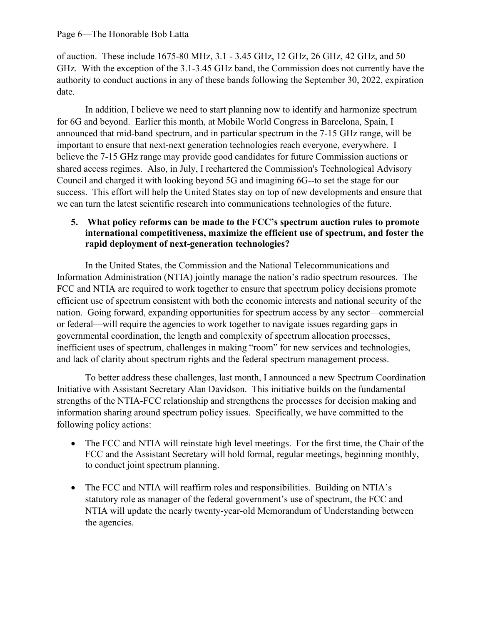of auction. These include 1675-80 MHz, 3.1 - 3.45 GHz, 12 GHz, 26 GHz, 42 GHz, and 50 GHz. With the exception of the 3.1-3.45 GHz band, the Commission does not currently have the authority to conduct auctions in any of these bands following the September 30, 2022, expiration date.

In addition, I believe we need to start planning now to identify and harmonize spectrum for 6G and beyond. Earlier this month, at Mobile World Congress in Barcelona, Spain, I announced that mid-band spectrum, and in particular spectrum in the 7-15 GHz range, will be important to ensure that next-next generation technologies reach everyone, everywhere. I believe the 7-15 GHz range may provide good candidates for future Commission auctions or shared access regimes. Also, in July, I rechartered the Commission's Technological Advisory Council and charged it with looking beyond 5G and imagining 6G--to set the stage for our success. This effort will help the United States stay on top of new developments and ensure that we can turn the latest scientific research into communications technologies of the future.

# **5. What policy reforms can be made to the FCC's spectrum auction rules to promote international competitiveness, maximize the efficient use of spectrum, and foster the rapid deployment of next-generation technologies?**

In the United States, the Commission and the National Telecommunications and Information Administration (NTIA) jointly manage the nation's radio spectrum resources. The FCC and NTIA are required to work together to ensure that spectrum policy decisions promote efficient use of spectrum consistent with both the economic interests and national security of the nation. Going forward, expanding opportunities for spectrum access by any sector—commercial or federal—will require the agencies to work together to navigate issues regarding gaps in governmental coordination, the length and complexity of spectrum allocation processes, inefficient uses of spectrum, challenges in making "room" for new services and technologies, and lack of clarity about spectrum rights and the federal spectrum management process.

To better address these challenges, last month, I announced a new Spectrum Coordination Initiative with Assistant Secretary Alan Davidson. This initiative builds on the fundamental strengths of the NTIA-FCC relationship and strengthens the processes for decision making and information sharing around spectrum policy issues. Specifically, we have committed to the following policy actions:

- The FCC and NTIA will reinstate high level meetings. For the first time, the Chair of the FCC and the Assistant Secretary will hold formal, regular meetings, beginning monthly, to conduct joint spectrum planning.
- The FCC and NTIA will reaffirm roles and responsibilities. Building on NTIA's statutory role as manager of the federal government's use of spectrum, the FCC and NTIA will update the nearly twenty-year-old Memorandum of Understanding between the agencies.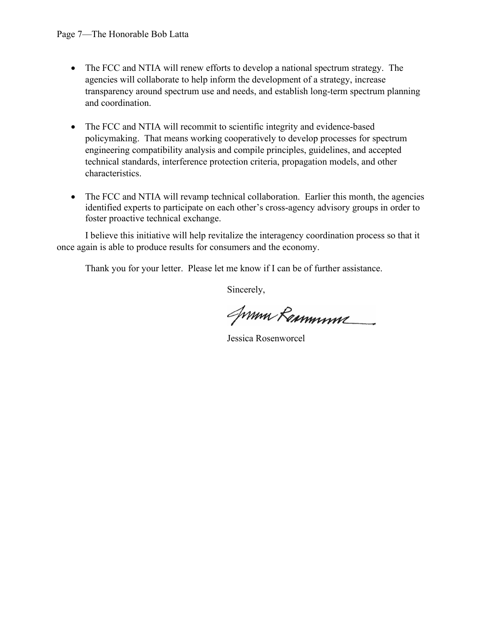- The FCC and NTIA will renew efforts to develop a national spectrum strategy. The agencies will collaborate to help inform the development of a strategy, increase transparency around spectrum use and needs, and establish long-term spectrum planning and coordination.
- The FCC and NTIA will recommit to scientific integrity and evidence-based policymaking. That means working cooperatively to develop processes for spectrum engineering compatibility analysis and compile principles, guidelines, and accepted technical standards, interference protection criteria, propagation models, and other characteristics.
- The FCC and NTIA will revamp technical collaboration. Earlier this month, the agencies identified experts to participate on each other's cross-agency advisory groups in order to foster proactive technical exchange.

I believe this initiative will help revitalize the interagency coordination process so that it once again is able to produce results for consumers and the economy.

Thank you for your letter. Please let me know if I can be of further assistance.

Sincerely,

Jumn Remmune

Jessica Rosenworcel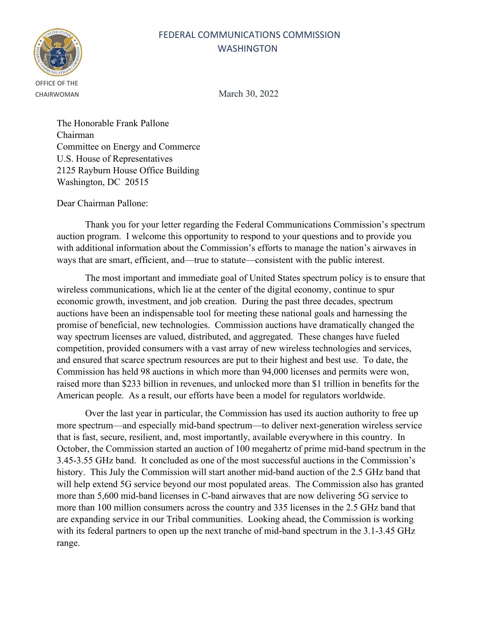# FEDERAL COMMUNICATIONS COMMISSION **WASHINGTON**



CHAIRWOMAN March 30, 2022

The Honorable Frank Pallone Chairman Committee on Energy and Commerce U.S. House of Representatives 2125 Rayburn House Office Building Washington, DC 20515

Dear Chairman Pallone:

Thank you for your letter regarding the Federal Communications Commission's spectrum auction program. I welcome this opportunity to respond to your questions and to provide you with additional information about the Commission's efforts to manage the nation's airwaves in ways that are smart, efficient, and—true to statute—consistent with the public interest.

The most important and immediate goal of United States spectrum policy is to ensure that wireless communications, which lie at the center of the digital economy, continue to spur economic growth, investment, and job creation. During the past three decades, spectrum auctions have been an indispensable tool for meeting these national goals and harnessing the promise of beneficial, new technologies. Commission auctions have dramatically changed the way spectrum licenses are valued, distributed, and aggregated. These changes have fueled competition, provided consumers with a vast array of new wireless technologies and services, and ensured that scarce spectrum resources are put to their highest and best use. To date, the Commission has held 98 auctions in which more than 94,000 licenses and permits were won, raised more than \$233 billion in revenues, and unlocked more than \$1 trillion in benefits for the American people. As a result, our efforts have been a model for regulators worldwide.

Over the last year in particular, the Commission has used its auction authority to free up more spectrum—and especially mid-band spectrum—to deliver next-generation wireless service that is fast, secure, resilient, and, most importantly, available everywhere in this country. In October, the Commission started an auction of 100 megahertz of prime mid-band spectrum in the 3.45-3.55 GHz band. It concluded as one of the most successful auctions in the Commission's history. This July the Commission will start another mid-band auction of the 2.5 GHz band that will help extend 5G service beyond our most populated areas. The Commission also has granted more than 5,600 mid-band licenses in C-band airwaves that are now delivering 5G service to more than 100 million consumers across the country and 335 licenses in the 2.5 GHz band that are expanding service in our Tribal communities. Looking ahead, the Commission is working with its federal partners to open up the next tranche of mid-band spectrum in the 3.1-3.45 GHz range.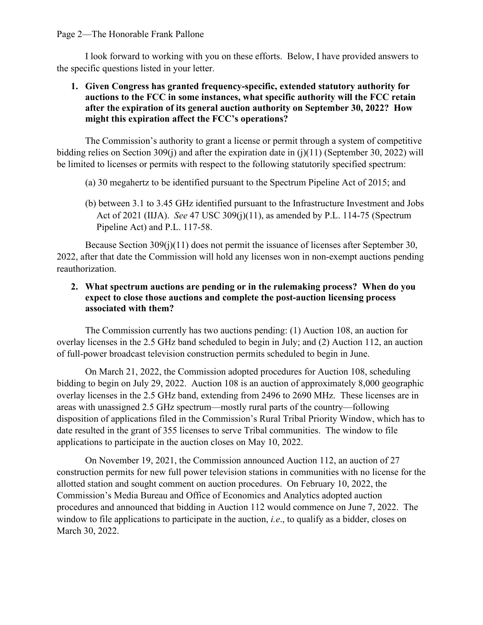I look forward to working with you on these efforts. Below, I have provided answers to the specific questions listed in your letter.

# **1. Given Congress has granted frequency-specific, extended statutory authority for auctions to the FCC in some instances, what specific authority will the FCC retain after the expiration of its general auction authority on September 30, 2022? How might this expiration affect the FCC's operations?**

The Commission's authority to grant a license or permit through a system of competitive bidding relies on Section 309(j) and after the expiration date in (j)(11) (September 30, 2022) will be limited to licenses or permits with respect to the following statutorily specified spectrum:

- (a) 30 megahertz to be identified pursuant to the Spectrum Pipeline Act of 2015; and
- (b) between 3.1 to 3.45 GHz identified pursuant to the Infrastructure Investment and Jobs Act of 2021 (IIJA). *See* 47 USC 309(j)(11), as amended by P.L. 114-75 (Spectrum Pipeline Act) and P.L. 117-58.

Because Section 309(j)(11) does not permit the issuance of licenses after September 30, 2022, after that date the Commission will hold any licenses won in non-exempt auctions pending reauthorization.

# **2. What spectrum auctions are pending or in the rulemaking process? When do you expect to close those auctions and complete the post-auction licensing process associated with them?**

The Commission currently has two auctions pending: (1) Auction 108, an auction for overlay licenses in the 2.5 GHz band scheduled to begin in July; and (2) Auction 112, an auction of full-power broadcast television construction permits scheduled to begin in June.

On March 21, 2022, the Commission adopted procedures for Auction 108, scheduling bidding to begin on July 29, 2022. Auction 108 is an auction of approximately 8,000 geographic overlay licenses in the 2.5 GHz band, extending from 2496 to 2690 MHz. These licenses are in areas with unassigned 2.5 GHz spectrum—mostly rural parts of the country—following disposition of applications filed in the Commission's Rural Tribal Priority Window, which has to date resulted in the grant of 355 licenses to serve Tribal communities. The window to file applications to participate in the auction closes on May 10, 2022.

On November 19, 2021, the Commission announced Auction 112, an auction of 27 construction permits for new full power television stations in communities with no license for the allotted station and sought comment on auction procedures. On February 10, 2022, the Commission's Media Bureau and Office of Economics and Analytics adopted auction procedures and announced that bidding in Auction 112 would commence on June 7, 2022. The window to file applications to participate in the auction, *i.e*., to qualify as a bidder, closes on March 30, 2022.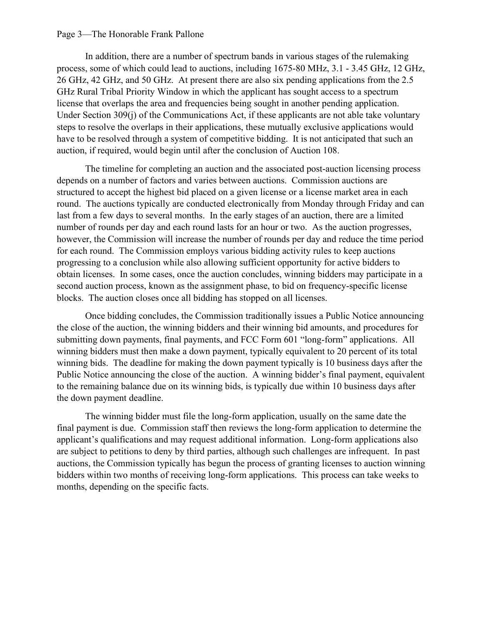#### Page 3—The Honorable Frank Pallone

In addition, there are a number of spectrum bands in various stages of the rulemaking process, some of which could lead to auctions, including 1675-80 MHz, 3.1 - 3.45 GHz, 12 GHz, 26 GHz, 42 GHz, and 50 GHz. At present there are also six pending applications from the 2.5 GHz Rural Tribal Priority Window in which the applicant has sought access to a spectrum license that overlaps the area and frequencies being sought in another pending application. Under Section 309(j) of the Communications Act, if these applicants are not able take voluntary steps to resolve the overlaps in their applications, these mutually exclusive applications would have to be resolved through a system of competitive bidding. It is not anticipated that such an auction, if required, would begin until after the conclusion of Auction 108.

The timeline for completing an auction and the associated post-auction licensing process depends on a number of factors and varies between auctions. Commission auctions are structured to accept the highest bid placed on a given license or a license market area in each round. The auctions typically are conducted electronically from Monday through Friday and can last from a few days to several months. In the early stages of an auction, there are a limited number of rounds per day and each round lasts for an hour or two. As the auction progresses, however, the Commission will increase the number of rounds per day and reduce the time period for each round. The Commission employs various bidding activity rules to keep auctions progressing to a conclusion while also allowing sufficient opportunity for active bidders to obtain licenses. In some cases, once the auction concludes, winning bidders may participate in a second auction process, known as the assignment phase, to bid on frequency-specific license blocks. The auction closes once all bidding has stopped on all licenses.

Once bidding concludes, the Commission traditionally issues a Public Notice announcing the close of the auction, the winning bidders and their winning bid amounts, and procedures for submitting down payments, final payments, and FCC Form 601 "long-form" applications. All winning bidders must then make a down payment, typically equivalent to 20 percent of its total winning bids. The deadline for making the down payment typically is 10 business days after the Public Notice announcing the close of the auction. A winning bidder's final payment, equivalent to the remaining balance due on its winning bids, is typically due within 10 business days after the down payment deadline.

The winning bidder must file the long-form application, usually on the same date the final payment is due. Commission staff then reviews the long-form application to determine the applicant's qualifications and may request additional information. Long-form applications also are subject to petitions to deny by third parties, although such challenges are infrequent. In past auctions, the Commission typically has begun the process of granting licenses to auction winning bidders within two months of receiving long-form applications. This process can take weeks to months, depending on the specific facts.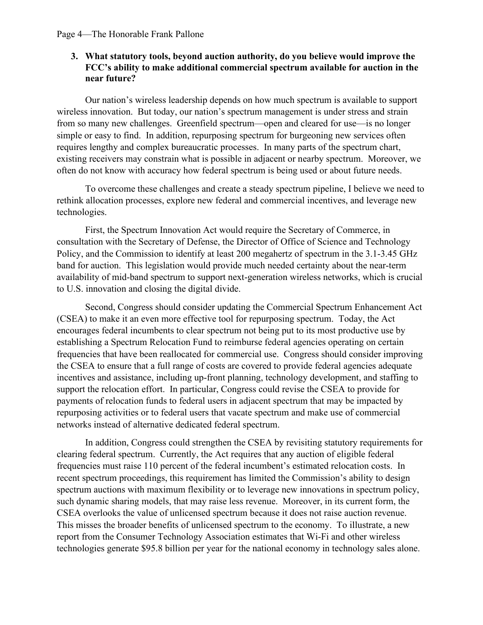## **3. What statutory tools, beyond auction authority, do you believe would improve the FCC's ability to make additional commercial spectrum available for auction in the near future?**

Our nation's wireless leadership depends on how much spectrum is available to support wireless innovation. But today, our nation's spectrum management is under stress and strain from so many new challenges. Greenfield spectrum—open and cleared for use—is no longer simple or easy to find. In addition, repurposing spectrum for burgeoning new services often requires lengthy and complex bureaucratic processes. In many parts of the spectrum chart, existing receivers may constrain what is possible in adjacent or nearby spectrum. Moreover, we often do not know with accuracy how federal spectrum is being used or about future needs.

To overcome these challenges and create a steady spectrum pipeline, I believe we need to rethink allocation processes, explore new federal and commercial incentives, and leverage new technologies.

First, the Spectrum Innovation Act would require the Secretary of Commerce, in consultation with the Secretary of Defense, the Director of Office of Science and Technology Policy, and the Commission to identify at least 200 megahertz of spectrum in the 3.1-3.45 GHz band for auction. This legislation would provide much needed certainty about the near-term availability of mid-band spectrum to support next-generation wireless networks, which is crucial to U.S. innovation and closing the digital divide.

Second, Congress should consider updating the Commercial Spectrum Enhancement Act (CSEA) to make it an even more effective tool for repurposing spectrum. Today, the Act encourages federal incumbents to clear spectrum not being put to its most productive use by establishing a Spectrum Relocation Fund to reimburse federal agencies operating on certain frequencies that have been reallocated for commercial use. Congress should consider improving the CSEA to ensure that a full range of costs are covered to provide federal agencies adequate incentives and assistance, including up-front planning, technology development, and staffing to support the relocation effort. In particular, Congress could revise the CSEA to provide for payments of relocation funds to federal users in adjacent spectrum that may be impacted by repurposing activities or to federal users that vacate spectrum and make use of commercial networks instead of alternative dedicated federal spectrum.

In addition, Congress could strengthen the CSEA by revisiting statutory requirements for clearing federal spectrum. Currently, the Act requires that any auction of eligible federal frequencies must raise 110 percent of the federal incumbent's estimated relocation costs. In recent spectrum proceedings, this requirement has limited the Commission's ability to design spectrum auctions with maximum flexibility or to leverage new innovations in spectrum policy, such dynamic sharing models, that may raise less revenue. Moreover, in its current form, the CSEA overlooks the value of unlicensed spectrum because it does not raise auction revenue. This misses the broader benefits of unlicensed spectrum to the economy. To illustrate, a new report from the Consumer Technology Association estimates that Wi-Fi and other wireless technologies generate \$95.8 billion per year for the national economy in technology sales alone.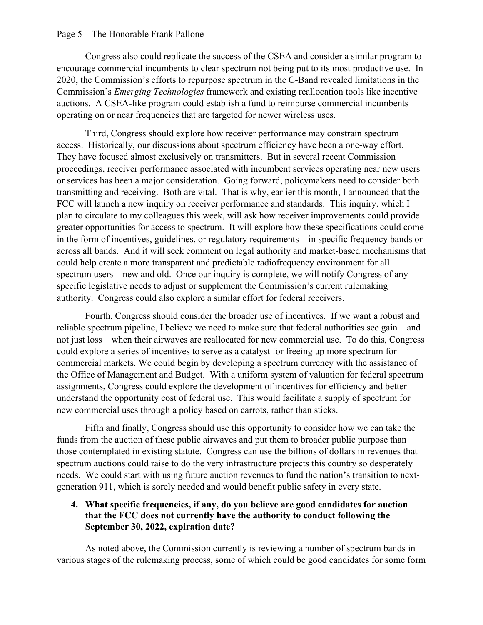#### Page 5—The Honorable Frank Pallone

Congress also could replicate the success of the CSEA and consider a similar program to encourage commercial incumbents to clear spectrum not being put to its most productive use. In 2020, the Commission's efforts to repurpose spectrum in the C-Band revealed limitations in the Commission's *Emerging Technologies* framework and existing reallocation tools like incentive auctions. A CSEA-like program could establish a fund to reimburse commercial incumbents operating on or near frequencies that are targeted for newer wireless uses.

Third, Congress should explore how receiver performance may constrain spectrum access. Historically, our discussions about spectrum efficiency have been a one-way effort. They have focused almost exclusively on transmitters. But in several recent Commission proceedings, receiver performance associated with incumbent services operating near new users or services has been a major consideration. Going forward, policymakers need to consider both transmitting and receiving. Both are vital. That is why, earlier this month, I announced that the FCC will launch a new inquiry on receiver performance and standards. This inquiry, which I plan to circulate to my colleagues this week, will ask how receiver improvements could provide greater opportunities for access to spectrum. It will explore how these specifications could come in the form of incentives, guidelines, or regulatory requirements—in specific frequency bands or across all bands. And it will seek comment on legal authority and market-based mechanisms that could help create a more transparent and predictable radiofrequency environment for all spectrum users—new and old. Once our inquiry is complete, we will notify Congress of any specific legislative needs to adjust or supplement the Commission's current rulemaking authority. Congress could also explore a similar effort for federal receivers.

Fourth, Congress should consider the broader use of incentives. If we want a robust and reliable spectrum pipeline, I believe we need to make sure that federal authorities see gain—and not just loss—when their airwaves are reallocated for new commercial use. To do this, Congress could explore a series of incentives to serve as a catalyst for freeing up more spectrum for commercial markets. We could begin by developing a spectrum currency with the assistance of the Office of Management and Budget. With a uniform system of valuation for federal spectrum assignments, Congress could explore the development of incentives for efficiency and better understand the opportunity cost of federal use. This would facilitate a supply of spectrum for new commercial uses through a policy based on carrots, rather than sticks.

Fifth and finally, Congress should use this opportunity to consider how we can take the funds from the auction of these public airwaves and put them to broader public purpose than those contemplated in existing statute. Congress can use the billions of dollars in revenues that spectrum auctions could raise to do the very infrastructure projects this country so desperately needs. We could start with using future auction revenues to fund the nation's transition to nextgeneration 911, which is sorely needed and would benefit public safety in every state.

### **4. What specific frequencies, if any, do you believe are good candidates for auction that the FCC does not currently have the authority to conduct following the September 30, 2022, expiration date?**

As noted above, the Commission currently is reviewing a number of spectrum bands in various stages of the rulemaking process, some of which could be good candidates for some form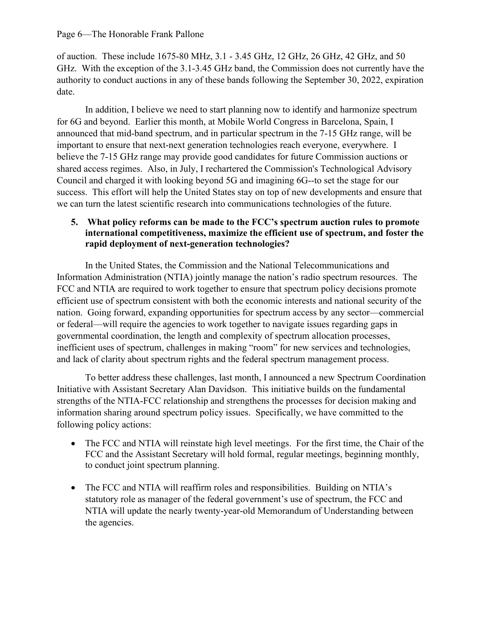of auction. These include 1675-80 MHz, 3.1 - 3.45 GHz, 12 GHz, 26 GHz, 42 GHz, and 50 GHz. With the exception of the 3.1-3.45 GHz band, the Commission does not currently have the authority to conduct auctions in any of these bands following the September 30, 2022, expiration date.

In addition, I believe we need to start planning now to identify and harmonize spectrum for 6G and beyond. Earlier this month, at Mobile World Congress in Barcelona, Spain, I announced that mid-band spectrum, and in particular spectrum in the 7-15 GHz range, will be important to ensure that next-next generation technologies reach everyone, everywhere. I believe the 7-15 GHz range may provide good candidates for future Commission auctions or shared access regimes. Also, in July, I rechartered the Commission's Technological Advisory Council and charged it with looking beyond 5G and imagining 6G--to set the stage for our success. This effort will help the United States stay on top of new developments and ensure that we can turn the latest scientific research into communications technologies of the future.

# **5. What policy reforms can be made to the FCC's spectrum auction rules to promote international competitiveness, maximize the efficient use of spectrum, and foster the rapid deployment of next-generation technologies?**

In the United States, the Commission and the National Telecommunications and Information Administration (NTIA) jointly manage the nation's radio spectrum resources. The FCC and NTIA are required to work together to ensure that spectrum policy decisions promote efficient use of spectrum consistent with both the economic interests and national security of the nation. Going forward, expanding opportunities for spectrum access by any sector—commercial or federal—will require the agencies to work together to navigate issues regarding gaps in governmental coordination, the length and complexity of spectrum allocation processes, inefficient uses of spectrum, challenges in making "room" for new services and technologies, and lack of clarity about spectrum rights and the federal spectrum management process.

To better address these challenges, last month, I announced a new Spectrum Coordination Initiative with Assistant Secretary Alan Davidson. This initiative builds on the fundamental strengths of the NTIA-FCC relationship and strengthens the processes for decision making and information sharing around spectrum policy issues. Specifically, we have committed to the following policy actions:

- The FCC and NTIA will reinstate high level meetings. For the first time, the Chair of the FCC and the Assistant Secretary will hold formal, regular meetings, beginning monthly, to conduct joint spectrum planning.
- The FCC and NTIA will reaffirm roles and responsibilities. Building on NTIA's statutory role as manager of the federal government's use of spectrum, the FCC and NTIA will update the nearly twenty-year-old Memorandum of Understanding between the agencies.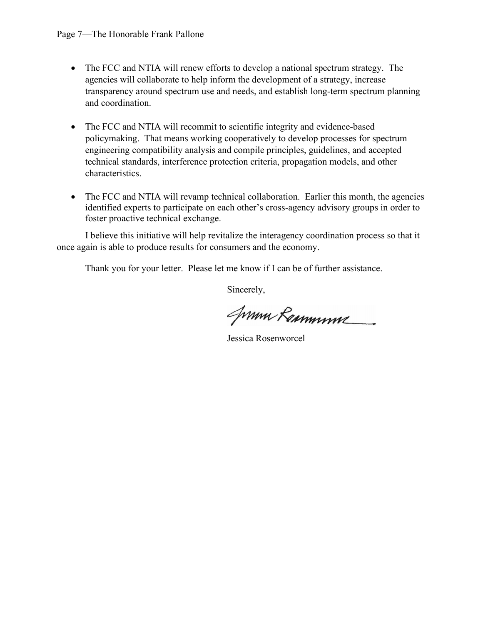- The FCC and NTIA will renew efforts to develop a national spectrum strategy. The agencies will collaborate to help inform the development of a strategy, increase transparency around spectrum use and needs, and establish long-term spectrum planning and coordination.
- The FCC and NTIA will recommit to scientific integrity and evidence-based policymaking. That means working cooperatively to develop processes for spectrum engineering compatibility analysis and compile principles, guidelines, and accepted technical standards, interference protection criteria, propagation models, and other characteristics.
- The FCC and NTIA will revamp technical collaboration. Earlier this month, the agencies identified experts to participate on each other's cross-agency advisory groups in order to foster proactive technical exchange.

I believe this initiative will help revitalize the interagency coordination process so that it once again is able to produce results for consumers and the economy.

Thank you for your letter. Please let me know if I can be of further assistance.

Sincerely,

Jumn Remmune

Jessica Rosenworcel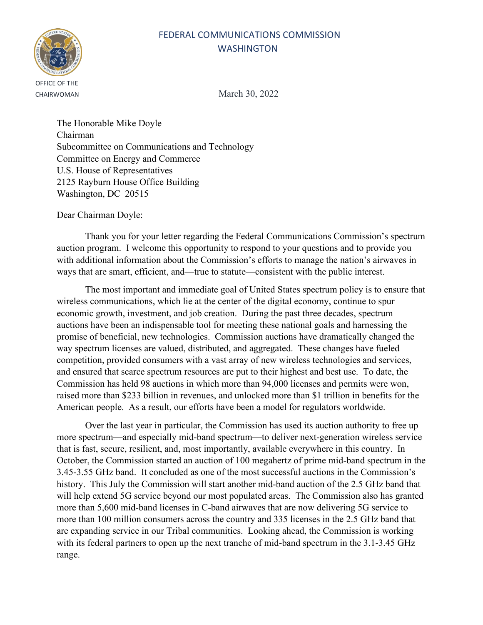# FEDERAL COMMUNICATIONS COMMISSION **WASHINGTON**



CHAIRWOMAN March 30, 2022

The Honorable Mike Doyle Chairman Subcommittee on Communications and Technology Committee on Energy and Commerce U.S. House of Representatives 2125 Rayburn House Office Building Washington, DC 20515

Dear Chairman Doyle:

Thank you for your letter regarding the Federal Communications Commission's spectrum auction program. I welcome this opportunity to respond to your questions and to provide you with additional information about the Commission's efforts to manage the nation's airwaves in ways that are smart, efficient, and—true to statute—consistent with the public interest.

The most important and immediate goal of United States spectrum policy is to ensure that wireless communications, which lie at the center of the digital economy, continue to spur economic growth, investment, and job creation. During the past three decades, spectrum auctions have been an indispensable tool for meeting these national goals and harnessing the promise of beneficial, new technologies. Commission auctions have dramatically changed the way spectrum licenses are valued, distributed, and aggregated. These changes have fueled competition, provided consumers with a vast array of new wireless technologies and services, and ensured that scarce spectrum resources are put to their highest and best use. To date, the Commission has held 98 auctions in which more than 94,000 licenses and permits were won, raised more than \$233 billion in revenues, and unlocked more than \$1 trillion in benefits for the American people. As a result, our efforts have been a model for regulators worldwide.

Over the last year in particular, the Commission has used its auction authority to free up more spectrum—and especially mid-band spectrum—to deliver next-generation wireless service that is fast, secure, resilient, and, most importantly, available everywhere in this country. In October, the Commission started an auction of 100 megahertz of prime mid-band spectrum in the 3.45-3.55 GHz band. It concluded as one of the most successful auctions in the Commission's history. This July the Commission will start another mid-band auction of the 2.5 GHz band that will help extend 5G service beyond our most populated areas. The Commission also has granted more than 5,600 mid-band licenses in C-band airwaves that are now delivering 5G service to more than 100 million consumers across the country and 335 licenses in the 2.5 GHz band that are expanding service in our Tribal communities. Looking ahead, the Commission is working with its federal partners to open up the next tranche of mid-band spectrum in the 3.1-3.45 GHz range.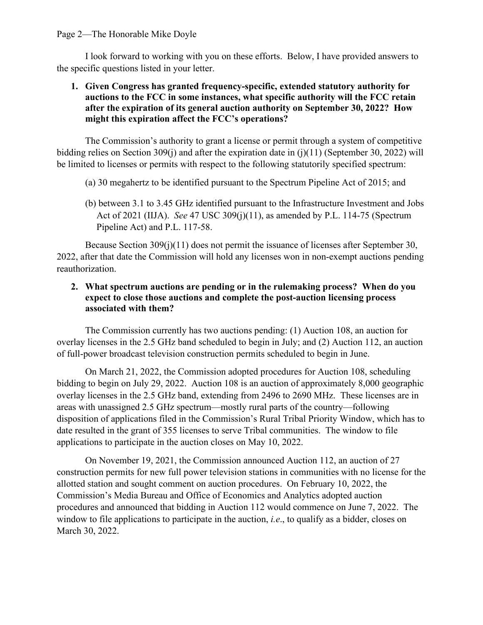I look forward to working with you on these efforts. Below, I have provided answers to the specific questions listed in your letter.

# **1. Given Congress has granted frequency-specific, extended statutory authority for auctions to the FCC in some instances, what specific authority will the FCC retain after the expiration of its general auction authority on September 30, 2022? How might this expiration affect the FCC's operations?**

The Commission's authority to grant a license or permit through a system of competitive bidding relies on Section 309(j) and after the expiration date in (j)(11) (September 30, 2022) will be limited to licenses or permits with respect to the following statutorily specified spectrum:

- (a) 30 megahertz to be identified pursuant to the Spectrum Pipeline Act of 2015; and
- (b) between 3.1 to 3.45 GHz identified pursuant to the Infrastructure Investment and Jobs Act of 2021 (IIJA). *See* 47 USC 309(j)(11), as amended by P.L. 114-75 (Spectrum Pipeline Act) and P.L. 117-58.

Because Section 309(j)(11) does not permit the issuance of licenses after September 30, 2022, after that date the Commission will hold any licenses won in non-exempt auctions pending reauthorization.

# **2. What spectrum auctions are pending or in the rulemaking process? When do you expect to close those auctions and complete the post-auction licensing process associated with them?**

The Commission currently has two auctions pending: (1) Auction 108, an auction for overlay licenses in the 2.5 GHz band scheduled to begin in July; and (2) Auction 112, an auction of full-power broadcast television construction permits scheduled to begin in June.

On March 21, 2022, the Commission adopted procedures for Auction 108, scheduling bidding to begin on July 29, 2022. Auction 108 is an auction of approximately 8,000 geographic overlay licenses in the 2.5 GHz band, extending from 2496 to 2690 MHz. These licenses are in areas with unassigned 2.5 GHz spectrum—mostly rural parts of the country—following disposition of applications filed in the Commission's Rural Tribal Priority Window, which has to date resulted in the grant of 355 licenses to serve Tribal communities. The window to file applications to participate in the auction closes on May 10, 2022.

On November 19, 2021, the Commission announced Auction 112, an auction of 27 construction permits for new full power television stations in communities with no license for the allotted station and sought comment on auction procedures. On February 10, 2022, the Commission's Media Bureau and Office of Economics and Analytics adopted auction procedures and announced that bidding in Auction 112 would commence on June 7, 2022. The window to file applications to participate in the auction, *i.e*., to qualify as a bidder, closes on March 30, 2022.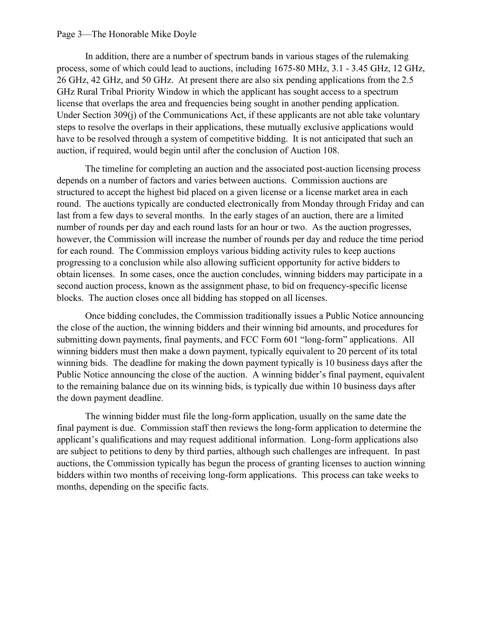#### Page 3—The Honorable Mike Doyle

In addition, there are a number of spectrum bands in various stages of the rulemaking process, some of which could lead to auctions, including 1675-80 MHz, 3.1 - 3.45 GHz, 12 GHz, 26 GHz, 42 GHz, and 50 GHz. At present there are also six pending applications from the 2.5 GHz Rural Tribal Priority Window in which the applicant has sought access to a spectrum license that overlaps the area and frequencies being sought in another pending application. Under Section 309(j) of the Communications Act, if these applicants are not able take voluntary steps to resolve the overlaps in their applications, these mutually exclusive applications would have to be resolved through a system of competitive bidding. It is not anticipated that such an auction, if required, would begin until after the conclusion of Auction 108.

The timeline for completing an auction and the associated post-auction licensing process depends on a number of factors and varies between auctions. Commission auctions are structured to accept the highest bid placed on a given license or a license market area in each round. The auctions typically are conducted electronically from Monday through Friday and can last from a few days to several months. In the early stages of an auction, there are a limited number of rounds per day and each round lasts for an hour or two. As the auction progresses, however, the Commission will increase the number of rounds per day and reduce the time period for each round. The Commission employs various bidding activity rules to keep auctions progressing to a conclusion while also allowing sufficient opportunity for active bidders to obtain licenses. In some cases, once the auction concludes, winning bidders may participate in a second auction process, known as the assignment phase, to bid on frequency-specific license blocks. The auction closes once all bidding has stopped on all licenses.

Once bidding concludes, the Commission traditionally issues a Public Notice announcing the close of the auction, the winning bidders and their winning bid amounts, and procedures for submitting down payments, final payments, and FCC Form 601 "long-form" applications. All winning bidders must then make a down payment, typically equivalent to 20 percent of its total winning bids. The deadline for making the down payment typically is 10 business days after the Public Notice announcing the close of the auction. A winning bidder's final payment, equivalent to the remaining balance due on its winning bids, is typically due within 10 business days after the down payment deadline.

The winning bidder must file the long-form application, usually on the same date the final payment is due. Commission staff then reviews the long-form application to determine the applicant's qualifications and may request additional information. Long-form applications also are subject to petitions to deny by third parties, although such challenges are infrequent. In past auctions, the Commission typically has begun the process of granting licenses to auction winning bidders within two months of receiving long-form applications. This process can take weeks to months, depending on the specific facts.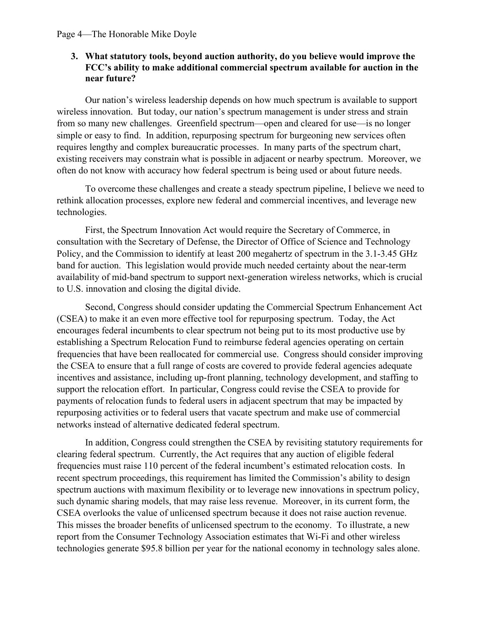## **3. What statutory tools, beyond auction authority, do you believe would improve the FCC's ability to make additional commercial spectrum available for auction in the near future?**

Our nation's wireless leadership depends on how much spectrum is available to support wireless innovation. But today, our nation's spectrum management is under stress and strain from so many new challenges. Greenfield spectrum—open and cleared for use—is no longer simple or easy to find. In addition, repurposing spectrum for burgeoning new services often requires lengthy and complex bureaucratic processes. In many parts of the spectrum chart, existing receivers may constrain what is possible in adjacent or nearby spectrum. Moreover, we often do not know with accuracy how federal spectrum is being used or about future needs.

To overcome these challenges and create a steady spectrum pipeline, I believe we need to rethink allocation processes, explore new federal and commercial incentives, and leverage new technologies.

First, the Spectrum Innovation Act would require the Secretary of Commerce, in consultation with the Secretary of Defense, the Director of Office of Science and Technology Policy, and the Commission to identify at least 200 megahertz of spectrum in the 3.1-3.45 GHz band for auction. This legislation would provide much needed certainty about the near-term availability of mid-band spectrum to support next-generation wireless networks, which is crucial to U.S. innovation and closing the digital divide.

Second, Congress should consider updating the Commercial Spectrum Enhancement Act (CSEA) to make it an even more effective tool for repurposing spectrum. Today, the Act encourages federal incumbents to clear spectrum not being put to its most productive use by establishing a Spectrum Relocation Fund to reimburse federal agencies operating on certain frequencies that have been reallocated for commercial use. Congress should consider improving the CSEA to ensure that a full range of costs are covered to provide federal agencies adequate incentives and assistance, including up-front planning, technology development, and staffing to support the relocation effort. In particular, Congress could revise the CSEA to provide for payments of relocation funds to federal users in adjacent spectrum that may be impacted by repurposing activities or to federal users that vacate spectrum and make use of commercial networks instead of alternative dedicated federal spectrum.

In addition, Congress could strengthen the CSEA by revisiting statutory requirements for clearing federal spectrum. Currently, the Act requires that any auction of eligible federal frequencies must raise 110 percent of the federal incumbent's estimated relocation costs. In recent spectrum proceedings, this requirement has limited the Commission's ability to design spectrum auctions with maximum flexibility or to leverage new innovations in spectrum policy, such dynamic sharing models, that may raise less revenue. Moreover, in its current form, the CSEA overlooks the value of unlicensed spectrum because it does not raise auction revenue. This misses the broader benefits of unlicensed spectrum to the economy. To illustrate, a new report from the Consumer Technology Association estimates that Wi-Fi and other wireless technologies generate \$95.8 billion per year for the national economy in technology sales alone.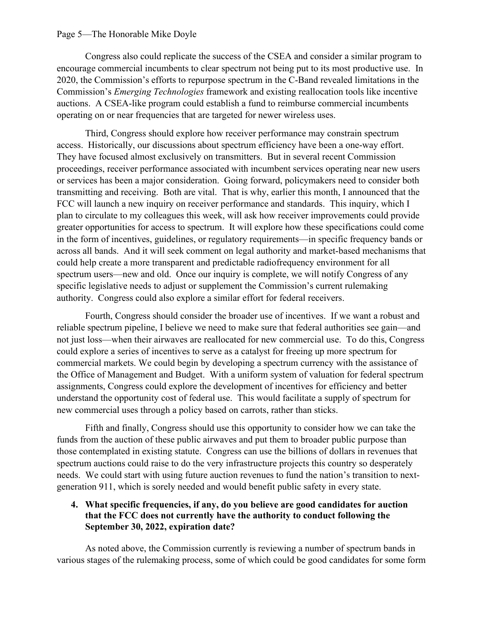#### Page 5—The Honorable Mike Doyle

Congress also could replicate the success of the CSEA and consider a similar program to encourage commercial incumbents to clear spectrum not being put to its most productive use. In 2020, the Commission's efforts to repurpose spectrum in the C-Band revealed limitations in the Commission's *Emerging Technologies* framework and existing reallocation tools like incentive auctions. A CSEA-like program could establish a fund to reimburse commercial incumbents operating on or near frequencies that are targeted for newer wireless uses.

Third, Congress should explore how receiver performance may constrain spectrum access. Historically, our discussions about spectrum efficiency have been a one-way effort. They have focused almost exclusively on transmitters. But in several recent Commission proceedings, receiver performance associated with incumbent services operating near new users or services has been a major consideration. Going forward, policymakers need to consider both transmitting and receiving. Both are vital. That is why, earlier this month, I announced that the FCC will launch a new inquiry on receiver performance and standards. This inquiry, which I plan to circulate to my colleagues this week, will ask how receiver improvements could provide greater opportunities for access to spectrum. It will explore how these specifications could come in the form of incentives, guidelines, or regulatory requirements—in specific frequency bands or across all bands. And it will seek comment on legal authority and market-based mechanisms that could help create a more transparent and predictable radiofrequency environment for all spectrum users—new and old. Once our inquiry is complete, we will notify Congress of any specific legislative needs to adjust or supplement the Commission's current rulemaking authority. Congress could also explore a similar effort for federal receivers.

Fourth, Congress should consider the broader use of incentives. If we want a robust and reliable spectrum pipeline, I believe we need to make sure that federal authorities see gain—and not just loss—when their airwaves are reallocated for new commercial use. To do this, Congress could explore a series of incentives to serve as a catalyst for freeing up more spectrum for commercial markets. We could begin by developing a spectrum currency with the assistance of the Office of Management and Budget. With a uniform system of valuation for federal spectrum assignments, Congress could explore the development of incentives for efficiency and better understand the opportunity cost of federal use. This would facilitate a supply of spectrum for new commercial uses through a policy based on carrots, rather than sticks.

Fifth and finally, Congress should use this opportunity to consider how we can take the funds from the auction of these public airwaves and put them to broader public purpose than those contemplated in existing statute. Congress can use the billions of dollars in revenues that spectrum auctions could raise to do the very infrastructure projects this country so desperately needs. We could start with using future auction revenues to fund the nation's transition to nextgeneration 911, which is sorely needed and would benefit public safety in every state.

### **4. What specific frequencies, if any, do you believe are good candidates for auction that the FCC does not currently have the authority to conduct following the September 30, 2022, expiration date?**

As noted above, the Commission currently is reviewing a number of spectrum bands in various stages of the rulemaking process, some of which could be good candidates for some form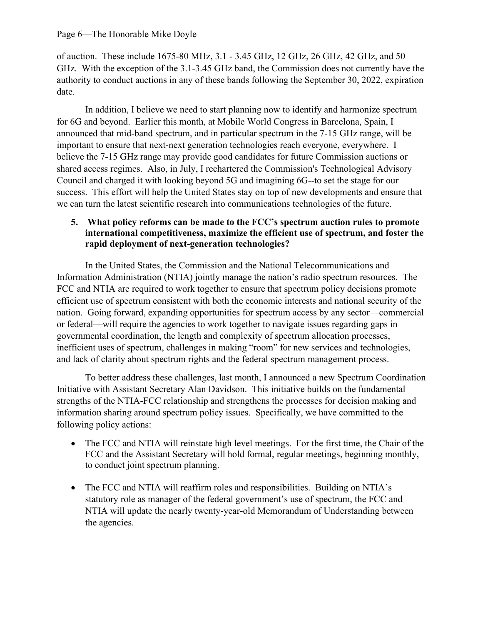of auction. These include 1675-80 MHz, 3.1 - 3.45 GHz, 12 GHz, 26 GHz, 42 GHz, and 50 GHz. With the exception of the 3.1-3.45 GHz band, the Commission does not currently have the authority to conduct auctions in any of these bands following the September 30, 2022, expiration date.

In addition, I believe we need to start planning now to identify and harmonize spectrum for 6G and beyond. Earlier this month, at Mobile World Congress in Barcelona, Spain, I announced that mid-band spectrum, and in particular spectrum in the 7-15 GHz range, will be important to ensure that next-next generation technologies reach everyone, everywhere. I believe the 7-15 GHz range may provide good candidates for future Commission auctions or shared access regimes. Also, in July, I rechartered the Commission's Technological Advisory Council and charged it with looking beyond 5G and imagining 6G--to set the stage for our success. This effort will help the United States stay on top of new developments and ensure that we can turn the latest scientific research into communications technologies of the future.

# **5. What policy reforms can be made to the FCC's spectrum auction rules to promote international competitiveness, maximize the efficient use of spectrum, and foster the rapid deployment of next-generation technologies?**

In the United States, the Commission and the National Telecommunications and Information Administration (NTIA) jointly manage the nation's radio spectrum resources. The FCC and NTIA are required to work together to ensure that spectrum policy decisions promote efficient use of spectrum consistent with both the economic interests and national security of the nation. Going forward, expanding opportunities for spectrum access by any sector—commercial or federal—will require the agencies to work together to navigate issues regarding gaps in governmental coordination, the length and complexity of spectrum allocation processes, inefficient uses of spectrum, challenges in making "room" for new services and technologies, and lack of clarity about spectrum rights and the federal spectrum management process.

To better address these challenges, last month, I announced a new Spectrum Coordination Initiative with Assistant Secretary Alan Davidson. This initiative builds on the fundamental strengths of the NTIA-FCC relationship and strengthens the processes for decision making and information sharing around spectrum policy issues. Specifically, we have committed to the following policy actions:

- The FCC and NTIA will reinstate high level meetings. For the first time, the Chair of the FCC and the Assistant Secretary will hold formal, regular meetings, beginning monthly, to conduct joint spectrum planning.
- The FCC and NTIA will reaffirm roles and responsibilities. Building on NTIA's statutory role as manager of the federal government's use of spectrum, the FCC and NTIA will update the nearly twenty-year-old Memorandum of Understanding between the agencies.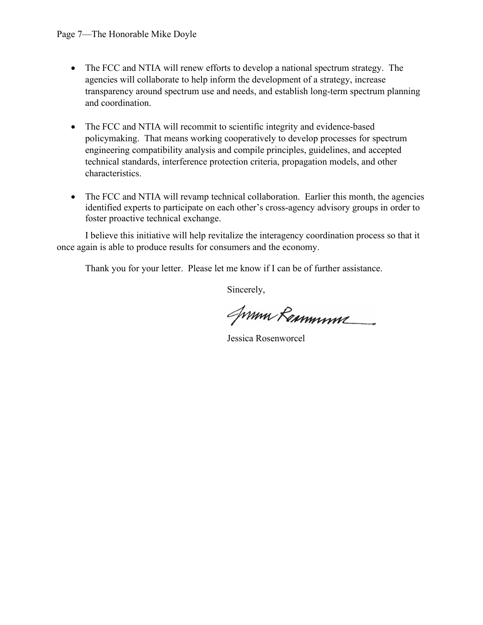- The FCC and NTIA will renew efforts to develop a national spectrum strategy. The agencies will collaborate to help inform the development of a strategy, increase transparency around spectrum use and needs, and establish long-term spectrum planning and coordination.
- The FCC and NTIA will recommit to scientific integrity and evidence-based policymaking. That means working cooperatively to develop processes for spectrum engineering compatibility analysis and compile principles, guidelines, and accepted technical standards, interference protection criteria, propagation models, and other characteristics.
- The FCC and NTIA will revamp technical collaboration. Earlier this month, the agencies identified experts to participate on each other's cross-agency advisory groups in order to foster proactive technical exchange.

I believe this initiative will help revitalize the interagency coordination process so that it once again is able to produce results for consumers and the economy.

Thank you for your letter. Please let me know if I can be of further assistance.

Sincerely,

Jumn Remmune

Jessica Rosenworcel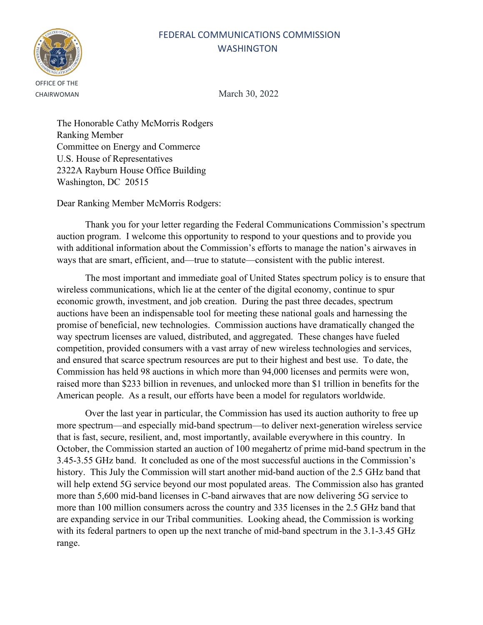# FEDERAL COMMUNICATIONS COMMISSION **WASHINGTON**



CHAIRWOMAN March 30, 2022

The Honorable Cathy McMorris Rodgers Ranking Member Committee on Energy and Commerce U.S. House of Representatives 2322A Rayburn House Office Building Washington, DC 20515

Dear Ranking Member McMorris Rodgers:

Thank you for your letter regarding the Federal Communications Commission's spectrum auction program. I welcome this opportunity to respond to your questions and to provide you with additional information about the Commission's efforts to manage the nation's airwaves in ways that are smart, efficient, and—true to statute—consistent with the public interest.

The most important and immediate goal of United States spectrum policy is to ensure that wireless communications, which lie at the center of the digital economy, continue to spur economic growth, investment, and job creation. During the past three decades, spectrum auctions have been an indispensable tool for meeting these national goals and harnessing the promise of beneficial, new technologies. Commission auctions have dramatically changed the way spectrum licenses are valued, distributed, and aggregated. These changes have fueled competition, provided consumers with a vast array of new wireless technologies and services, and ensured that scarce spectrum resources are put to their highest and best use. To date, the Commission has held 98 auctions in which more than 94,000 licenses and permits were won, raised more than \$233 billion in revenues, and unlocked more than \$1 trillion in benefits for the American people. As a result, our efforts have been a model for regulators worldwide.

Over the last year in particular, the Commission has used its auction authority to free up more spectrum—and especially mid-band spectrum—to deliver next-generation wireless service that is fast, secure, resilient, and, most importantly, available everywhere in this country. In October, the Commission started an auction of 100 megahertz of prime mid-band spectrum in the 3.45-3.55 GHz band. It concluded as one of the most successful auctions in the Commission's history. This July the Commission will start another mid-band auction of the 2.5 GHz band that will help extend 5G service beyond our most populated areas. The Commission also has granted more than 5,600 mid-band licenses in C-band airwaves that are now delivering 5G service to more than 100 million consumers across the country and 335 licenses in the 2.5 GHz band that are expanding service in our Tribal communities. Looking ahead, the Commission is working with its federal partners to open up the next tranche of mid-band spectrum in the 3.1-3.45 GHz range.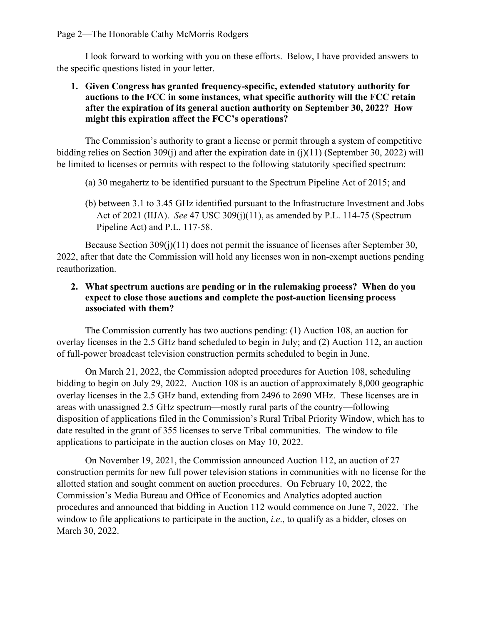I look forward to working with you on these efforts. Below, I have provided answers to the specific questions listed in your letter.

## **1. Given Congress has granted frequency-specific, extended statutory authority for auctions to the FCC in some instances, what specific authority will the FCC retain after the expiration of its general auction authority on September 30, 2022? How might this expiration affect the FCC's operations?**

The Commission's authority to grant a license or permit through a system of competitive bidding relies on Section 309(j) and after the expiration date in (j)(11) (September 30, 2022) will be limited to licenses or permits with respect to the following statutorily specified spectrum:

- (a) 30 megahertz to be identified pursuant to the Spectrum Pipeline Act of 2015; and
- (b) between 3.1 to 3.45 GHz identified pursuant to the Infrastructure Investment and Jobs Act of 2021 (IIJA). *See* 47 USC 309(j)(11), as amended by P.L. 114-75 (Spectrum Pipeline Act) and P.L. 117-58.

Because Section 309(j)(11) does not permit the issuance of licenses after September 30, 2022, after that date the Commission will hold any licenses won in non-exempt auctions pending reauthorization.

# **2. What spectrum auctions are pending or in the rulemaking process? When do you expect to close those auctions and complete the post-auction licensing process associated with them?**

The Commission currently has two auctions pending: (1) Auction 108, an auction for overlay licenses in the 2.5 GHz band scheduled to begin in July; and (2) Auction 112, an auction of full-power broadcast television construction permits scheduled to begin in June.

On March 21, 2022, the Commission adopted procedures for Auction 108, scheduling bidding to begin on July 29, 2022. Auction 108 is an auction of approximately 8,000 geographic overlay licenses in the 2.5 GHz band, extending from 2496 to 2690 MHz. These licenses are in areas with unassigned 2.5 GHz spectrum—mostly rural parts of the country—following disposition of applications filed in the Commission's Rural Tribal Priority Window, which has to date resulted in the grant of 355 licenses to serve Tribal communities. The window to file applications to participate in the auction closes on May 10, 2022.

On November 19, 2021, the Commission announced Auction 112, an auction of 27 construction permits for new full power television stations in communities with no license for the allotted station and sought comment on auction procedures. On February 10, 2022, the Commission's Media Bureau and Office of Economics and Analytics adopted auction procedures and announced that bidding in Auction 112 would commence on June 7, 2022. The window to file applications to participate in the auction, *i.e*., to qualify as a bidder, closes on March 30, 2022.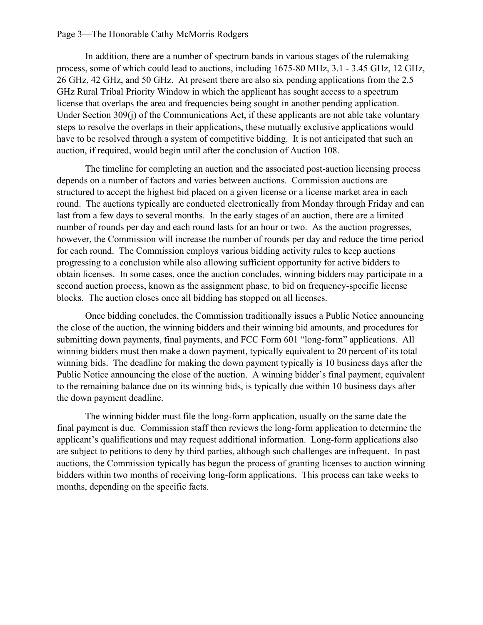#### Page 3—The Honorable Cathy McMorris Rodgers

In addition, there are a number of spectrum bands in various stages of the rulemaking process, some of which could lead to auctions, including 1675-80 MHz, 3.1 - 3.45 GHz, 12 GHz, 26 GHz, 42 GHz, and 50 GHz. At present there are also six pending applications from the 2.5 GHz Rural Tribal Priority Window in which the applicant has sought access to a spectrum license that overlaps the area and frequencies being sought in another pending application. Under Section 309(j) of the Communications Act, if these applicants are not able take voluntary steps to resolve the overlaps in their applications, these mutually exclusive applications would have to be resolved through a system of competitive bidding. It is not anticipated that such an auction, if required, would begin until after the conclusion of Auction 108.

The timeline for completing an auction and the associated post-auction licensing process depends on a number of factors and varies between auctions. Commission auctions are structured to accept the highest bid placed on a given license or a license market area in each round. The auctions typically are conducted electronically from Monday through Friday and can last from a few days to several months. In the early stages of an auction, there are a limited number of rounds per day and each round lasts for an hour or two. As the auction progresses, however, the Commission will increase the number of rounds per day and reduce the time period for each round. The Commission employs various bidding activity rules to keep auctions progressing to a conclusion while also allowing sufficient opportunity for active bidders to obtain licenses. In some cases, once the auction concludes, winning bidders may participate in a second auction process, known as the assignment phase, to bid on frequency-specific license blocks. The auction closes once all bidding has stopped on all licenses.

Once bidding concludes, the Commission traditionally issues a Public Notice announcing the close of the auction, the winning bidders and their winning bid amounts, and procedures for submitting down payments, final payments, and FCC Form 601 "long-form" applications. All winning bidders must then make a down payment, typically equivalent to 20 percent of its total winning bids. The deadline for making the down payment typically is 10 business days after the Public Notice announcing the close of the auction. A winning bidder's final payment, equivalent to the remaining balance due on its winning bids, is typically due within 10 business days after the down payment deadline.

The winning bidder must file the long-form application, usually on the same date the final payment is due. Commission staff then reviews the long-form application to determine the applicant's qualifications and may request additional information. Long-form applications also are subject to petitions to deny by third parties, although such challenges are infrequent. In past auctions, the Commission typically has begun the process of granting licenses to auction winning bidders within two months of receiving long-form applications. This process can take weeks to months, depending on the specific facts.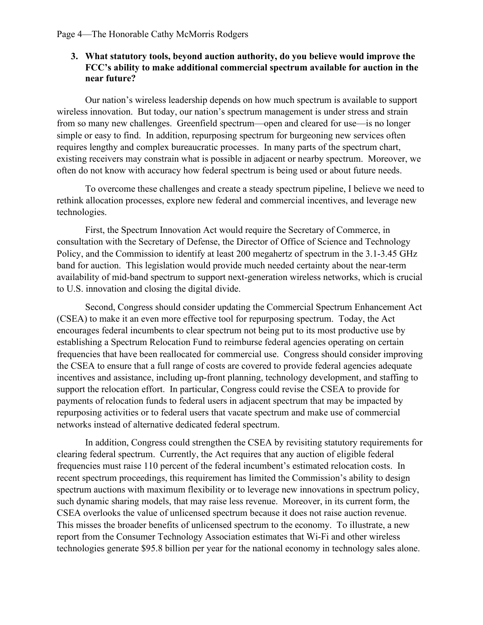### **3. What statutory tools, beyond auction authority, do you believe would improve the FCC's ability to make additional commercial spectrum available for auction in the near future?**

Our nation's wireless leadership depends on how much spectrum is available to support wireless innovation. But today, our nation's spectrum management is under stress and strain from so many new challenges. Greenfield spectrum—open and cleared for use—is no longer simple or easy to find. In addition, repurposing spectrum for burgeoning new services often requires lengthy and complex bureaucratic processes. In many parts of the spectrum chart, existing receivers may constrain what is possible in adjacent or nearby spectrum. Moreover, we often do not know with accuracy how federal spectrum is being used or about future needs.

To overcome these challenges and create a steady spectrum pipeline, I believe we need to rethink allocation processes, explore new federal and commercial incentives, and leverage new technologies.

First, the Spectrum Innovation Act would require the Secretary of Commerce, in consultation with the Secretary of Defense, the Director of Office of Science and Technology Policy, and the Commission to identify at least 200 megahertz of spectrum in the 3.1-3.45 GHz band for auction. This legislation would provide much needed certainty about the near-term availability of mid-band spectrum to support next-generation wireless networks, which is crucial to U.S. innovation and closing the digital divide.

Second, Congress should consider updating the Commercial Spectrum Enhancement Act (CSEA) to make it an even more effective tool for repurposing spectrum. Today, the Act encourages federal incumbents to clear spectrum not being put to its most productive use by establishing a Spectrum Relocation Fund to reimburse federal agencies operating on certain frequencies that have been reallocated for commercial use. Congress should consider improving the CSEA to ensure that a full range of costs are covered to provide federal agencies adequate incentives and assistance, including up-front planning, technology development, and staffing to support the relocation effort. In particular, Congress could revise the CSEA to provide for payments of relocation funds to federal users in adjacent spectrum that may be impacted by repurposing activities or to federal users that vacate spectrum and make use of commercial networks instead of alternative dedicated federal spectrum.

In addition, Congress could strengthen the CSEA by revisiting statutory requirements for clearing federal spectrum. Currently, the Act requires that any auction of eligible federal frequencies must raise 110 percent of the federal incumbent's estimated relocation costs. In recent spectrum proceedings, this requirement has limited the Commission's ability to design spectrum auctions with maximum flexibility or to leverage new innovations in spectrum policy, such dynamic sharing models, that may raise less revenue. Moreover, in its current form, the CSEA overlooks the value of unlicensed spectrum because it does not raise auction revenue. This misses the broader benefits of unlicensed spectrum to the economy. To illustrate, a new report from the Consumer Technology Association estimates that Wi-Fi and other wireless technologies generate \$95.8 billion per year for the national economy in technology sales alone.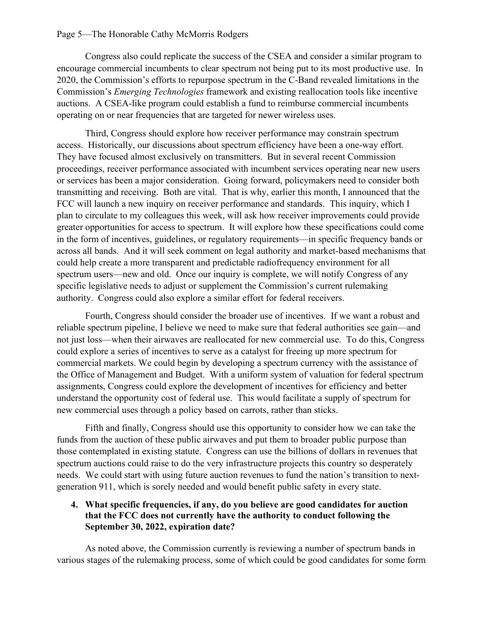#### Page 5—The Honorable Cathy McMorris Rodgers

Congress also could replicate the success of the CSEA and consider a similar program to encourage commercial incumbents to clear spectrum not being put to its most productive use. In 2020, the Commission's efforts to repurpose spectrum in the C-Band revealed limitations in the Commission's *Emerging Technologies* framework and existing reallocation tools like incentive auctions. A CSEA-like program could establish a fund to reimburse commercial incumbents operating on or near frequencies that are targeted for newer wireless uses.

Third, Congress should explore how receiver performance may constrain spectrum access. Historically, our discussions about spectrum efficiency have been a one-way effort. They have focused almost exclusively on transmitters. But in several recent Commission proceedings, receiver performance associated with incumbent services operating near new users or services has been a major consideration. Going forward, policymakers need to consider both transmitting and receiving. Both are vital. That is why, earlier this month, I announced that the FCC will launch a new inquiry on receiver performance and standards. This inquiry, which I plan to circulate to my colleagues this week, will ask how receiver improvements could provide greater opportunities for access to spectrum. It will explore how these specifications could come in the form of incentives, guidelines, or regulatory requirements—in specific frequency bands or across all bands. And it will seek comment on legal authority and market-based mechanisms that could help create a more transparent and predictable radiofrequency environment for all spectrum users—new and old. Once our inquiry is complete, we will notify Congress of any specific legislative needs to adjust or supplement the Commission's current rulemaking authority. Congress could also explore a similar effort for federal receivers.

Fourth, Congress should consider the broader use of incentives. If we want a robust and reliable spectrum pipeline, I believe we need to make sure that federal authorities see gain—and not just loss—when their airwaves are reallocated for new commercial use. To do this, Congress could explore a series of incentives to serve as a catalyst for freeing up more spectrum for commercial markets. We could begin by developing a spectrum currency with the assistance of the Office of Management and Budget. With a uniform system of valuation for federal spectrum assignments, Congress could explore the development of incentives for efficiency and better understand the opportunity cost of federal use. This would facilitate a supply of spectrum for new commercial uses through a policy based on carrots, rather than sticks.

Fifth and finally, Congress should use this opportunity to consider how we can take the funds from the auction of these public airwaves and put them to broader public purpose than those contemplated in existing statute. Congress can use the billions of dollars in revenues that spectrum auctions could raise to do the very infrastructure projects this country so desperately needs. We could start with using future auction revenues to fund the nation's transition to nextgeneration 911, which is sorely needed and would benefit public safety in every state.

### **4. What specific frequencies, if any, do you believe are good candidates for auction that the FCC does not currently have the authority to conduct following the September 30, 2022, expiration date?**

As noted above, the Commission currently is reviewing a number of spectrum bands in various stages of the rulemaking process, some of which could be good candidates for some form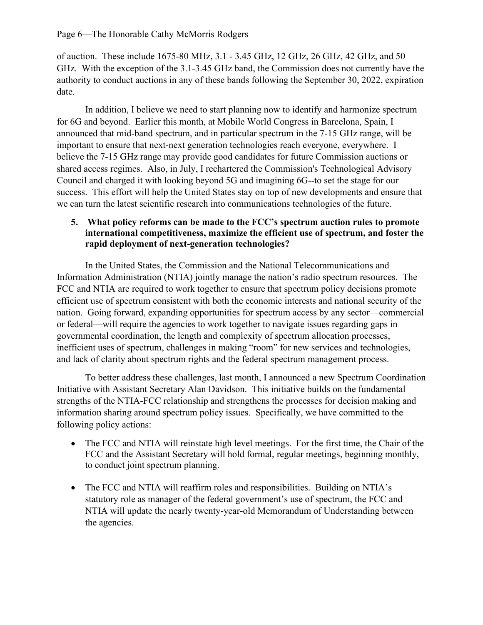of auction. These include 1675-80 MHz, 3.1 - 3.45 GHz, 12 GHz, 26 GHz, 42 GHz, and 50 GHz. With the exception of the 3.1-3.45 GHz band, the Commission does not currently have the authority to conduct auctions in any of these bands following the September 30, 2022, expiration date.

In addition, I believe we need to start planning now to identify and harmonize spectrum for 6G and beyond. Earlier this month, at Mobile World Congress in Barcelona, Spain, I announced that mid-band spectrum, and in particular spectrum in the 7-15 GHz range, will be important to ensure that next-next generation technologies reach everyone, everywhere. I believe the 7-15 GHz range may provide good candidates for future Commission auctions or shared access regimes. Also, in July, I rechartered the Commission's Technological Advisory Council and charged it with looking beyond 5G and imagining 6G--to set the stage for our success. This effort will help the United States stay on top of new developments and ensure that we can turn the latest scientific research into communications technologies of the future.

# **5. What policy reforms can be made to the FCC's spectrum auction rules to promote international competitiveness, maximize the efficient use of spectrum, and foster the rapid deployment of next-generation technologies?**

In the United States, the Commission and the National Telecommunications and Information Administration (NTIA) jointly manage the nation's radio spectrum resources. The FCC and NTIA are required to work together to ensure that spectrum policy decisions promote efficient use of spectrum consistent with both the economic interests and national security of the nation. Going forward, expanding opportunities for spectrum access by any sector—commercial or federal—will require the agencies to work together to navigate issues regarding gaps in governmental coordination, the length and complexity of spectrum allocation processes, inefficient uses of spectrum, challenges in making "room" for new services and technologies, and lack of clarity about spectrum rights and the federal spectrum management process.

To better address these challenges, last month, I announced a new Spectrum Coordination Initiative with Assistant Secretary Alan Davidson. This initiative builds on the fundamental strengths of the NTIA-FCC relationship and strengthens the processes for decision making and information sharing around spectrum policy issues. Specifically, we have committed to the following policy actions:

- The FCC and NTIA will reinstate high level meetings. For the first time, the Chair of the FCC and the Assistant Secretary will hold formal, regular meetings, beginning monthly, to conduct joint spectrum planning.
- The FCC and NTIA will reaffirm roles and responsibilities. Building on NTIA's statutory role as manager of the federal government's use of spectrum, the FCC and NTIA will update the nearly twenty-year-old Memorandum of Understanding between the agencies.